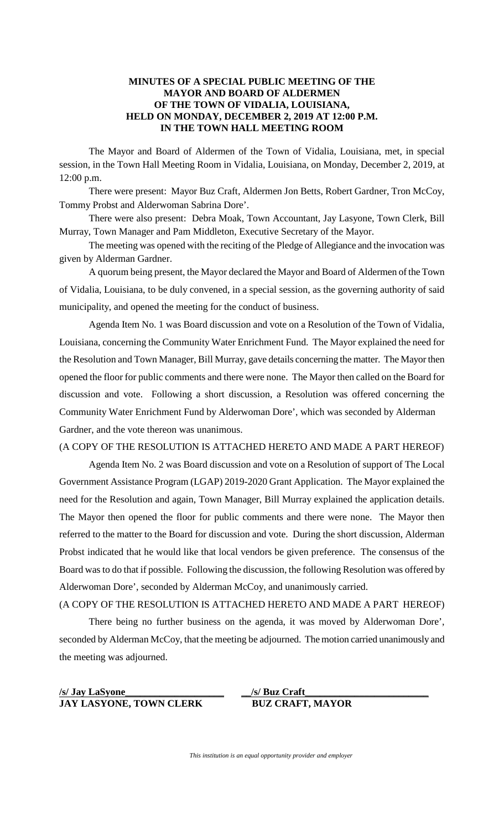## **MINUTES OF A SPECIAL PUBLIC MEETING OF THE MAYOR AND BOARD OF ALDERMEN OF THE TOWN OF VIDALIA, LOUISIANA, HELD ON MONDAY, DECEMBER 2, 2019 AT 12:00 P.M. IN THE TOWN HALL MEETING ROOM**

The Mayor and Board of Aldermen of the Town of Vidalia, Louisiana, met, in special session, in the Town Hall Meeting Room in Vidalia, Louisiana, on Monday, December 2, 2019, at 12:00 p.m.

There were present: Mayor Buz Craft, Aldermen Jon Betts, Robert Gardner, Tron McCoy, Tommy Probst and Alderwoman Sabrina Dore'.

There were also present: Debra Moak, Town Accountant, Jay Lasyone, Town Clerk, Bill Murray, Town Manager and Pam Middleton, Executive Secretary of the Mayor.

The meeting was opened with the reciting of the Pledge of Allegiance and the invocation was given by Alderman Gardner.

A quorum being present, the Mayor declared the Mayor and Board of Aldermen of the Town of Vidalia, Louisiana, to be duly convened, in a special session, as the governing authority of said municipality, and opened the meeting for the conduct of business.

Agenda Item No. 1 was Board discussion and vote on a Resolution of the Town of Vidalia, Louisiana, concerning the Community Water Enrichment Fund. The Mayor explained the need for the Resolution and Town Manager, Bill Murray, gave details concerning the matter. The Mayor then opened the floor for public comments and there were none. The Mayor then called on the Board for discussion and vote. Following a short discussion, a Resolution was offered concerning the Community Water Enrichment Fund by Alderwoman Dore', which was seconded by Alderman Gardner, and the vote thereon was unanimous.

(A COPY OF THE RESOLUTION IS ATTACHED HERETO AND MADE A PART HEREOF)

Agenda Item No. 2 was Board discussion and vote on a Resolution of support of The Local Government Assistance Program (LGAP) 2019-2020 Grant Application. The Mayor explained the need for the Resolution and again, Town Manager, Bill Murray explained the application details. The Mayor then opened the floor for public comments and there were none. The Mayor then referred to the matter to the Board for discussion and vote. During the short discussion, Alderman Probst indicated that he would like that local vendors be given preference. The consensus of the Board was to do that if possible. Following the discussion, the following Resolution was offered by Alderwoman Dore', seconded by Alderman McCoy, and unanimously carried.

(A COPY OF THE RESOLUTION IS ATTACHED HERETO AND MADE A PART HEREOF)

There being no further business on the agenda, it was moved by Alderwoman Dore', seconded by Alderman McCoy, that the meeting be adjourned. The motion carried unanimously and the meeting was adjourned.

# **/s/ Jay LaSyone\_\_\_\_\_\_\_\_\_\_\_\_\_\_\_\_\_\_\_\_ JAY LASYONE, TOWN CLERK BUZ CRAFT, MAYOR**

**\_\_/s/ Buz Craft\_\_\_\_\_\_\_\_\_\_\_\_\_\_\_\_\_\_\_\_\_\_\_\_\_**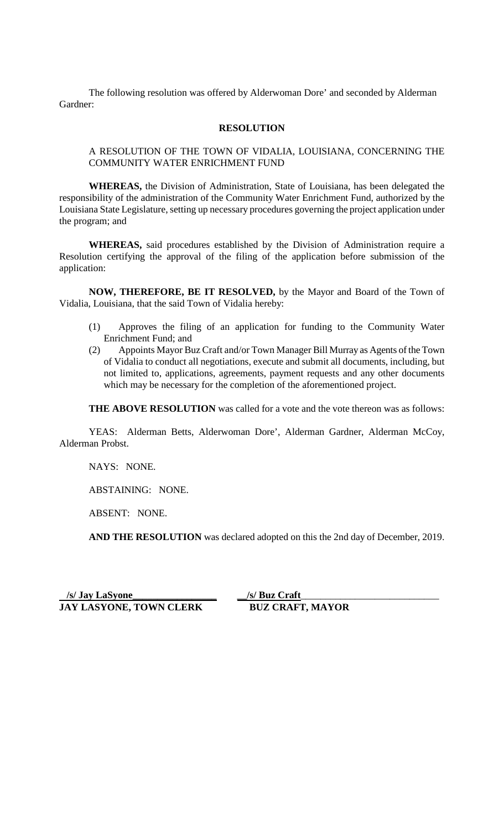The following resolution was offered by Alderwoman Dore' and seconded by Alderman Gardner:

#### **RESOLUTION**

## A RESOLUTION OF THE TOWN OF VIDALIA, LOUISIANA, CONCERNING THE COMMUNITY WATER ENRICHMENT FUND

**WHEREAS,** the Division of Administration, State of Louisiana, has been delegated the responsibility of the administration of the Community Water Enrichment Fund, authorized by the Louisiana State Legislature, setting up necessary procedures governing the project application under the program; and

**WHEREAS,** said procedures established by the Division of Administration require a Resolution certifying the approval of the filing of the application before submission of the application:

**NOW, THEREFORE, BE IT RESOLVED,** by the Mayor and Board of the Town of Vidalia, Louisiana, that the said Town of Vidalia hereby:

- (1) Approves the filing of an application for funding to the Community Water Enrichment Fund; and
- (2) Appoints Mayor Buz Craft and/or Town Manager Bill Murray as Agents of the Town of Vidalia to conduct all negotiations, execute and submit all documents, including, but not limited to, applications, agreements, payment requests and any other documents which may be necessary for the completion of the aforementioned project.

**THE ABOVE RESOLUTION** was called for a vote and the vote thereon was as follows:

YEAS: Alderman Betts, Alderwoman Dore', Alderman Gardner, Alderman McCoy, Alderman Probst.

NAYS: NONE.

ABSTAINING: NONE.

ABSENT: NONE.

**AND THE RESOLUTION** was declared adopted on this the 2nd day of December, 2019.

 **/s/ Jay LaSyone\_\_\_\_\_\_\_\_\_\_\_\_\_\_\_\_\_ \_\_/s/ Buz Craft JAY LASYONE, TOWN CLERK BUZ CRAFT, MAYOR** 

\_\_\_\_\_\_\_\_\_\_\_\_\_\_\_\_\_\_\_\_\_\_\_\_\_\_\_\_